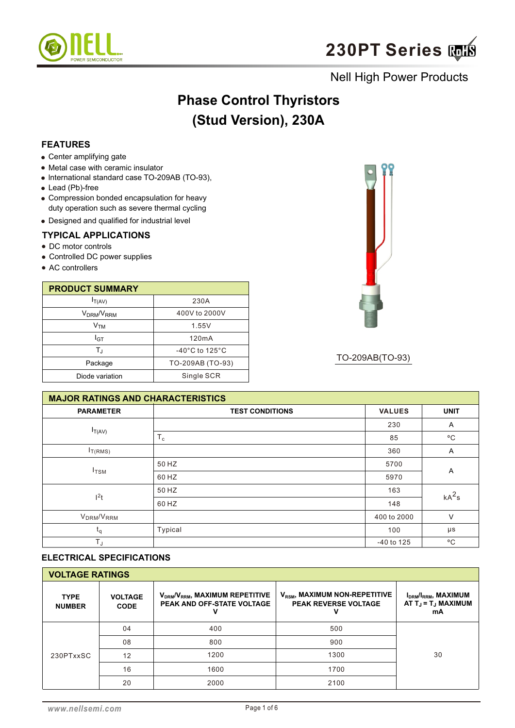

# **Phase Control Thyristors (Stud Version), 230A**

## **FEATURES**

- Center amplifying gate
- Metal case with ceramic insulator
- lnternational standard case TO-209AB (TO-93),
- Lead (Pb)-free
- Compression bonded encapsulation for heavy duty operation such as severe thermal cycling
- Designed and qualified for industrial level

#### **TYPICAL APPLICATIONS**

- DC motor controls
- Controlled DC power supplies
- AC controllers

| <b>PRODUCT SUMMARY</b>             |                                     |  |  |  |  |
|------------------------------------|-------------------------------------|--|--|--|--|
| $I_{T(AV)}$                        | 230A                                |  |  |  |  |
| V <sub>DRM</sub> /V <sub>RRM</sub> | 400V to 2000V                       |  |  |  |  |
| V <sub>TM</sub>                    | 1.55V                               |  |  |  |  |
| I <sub>GT</sub>                    | 120mA                               |  |  |  |  |
| $\mathsf{T}_\mathrm{J}$            | $-40^{\circ}$ C to 125 $^{\circ}$ C |  |  |  |  |
| Package                            | TO-209AB (TO-93)                    |  |  |  |  |
| Diode variation                    | Single SCR                          |  |  |  |  |



TO-209AB(TO-93)

| <b>MAJOR RATINGS AND CHARACTERISTICS</b> |                        |               |              |  |  |  |
|------------------------------------------|------------------------|---------------|--------------|--|--|--|
| <b>PARAMETER</b>                         | <b>TEST CONDITIONS</b> | <b>VALUES</b> | <b>UNIT</b>  |  |  |  |
|                                          |                        | 230           | Α            |  |  |  |
| $I_{T(AV)}$                              | $T_c$                  | 85            | $^{\circ}$ C |  |  |  |
| $I_{T(RMS)}$                             |                        | 360           | Α            |  |  |  |
| $I_{\text{TSM}}$                         | 50 HZ                  | 5700          |              |  |  |  |
|                                          | 60 HZ                  | 5970          | Α            |  |  |  |
|                                          | 50 HZ                  | 163           | $kA^2s$      |  |  |  |
| 1 <sup>2</sup> t                         | 60 HZ                  | 148           |              |  |  |  |
| V <sub>DRM</sub> /V <sub>RRM</sub>       |                        | 400 to 2000   | $\vee$       |  |  |  |
| ${\sf t}_{\sf q}$                        | Typical                | 100           | μs           |  |  |  |
| $T_{J}$                                  |                        | -40 to 125    | $^{\circ}$ C |  |  |  |

### **ELECTRICAL SPECIFICATIONS**

| <b>VOLTAGE RATINGS</b>       |                               |                                                                                       |                                                                          |                                                                                            |  |  |  |  |
|------------------------------|-------------------------------|---------------------------------------------------------------------------------------|--------------------------------------------------------------------------|--------------------------------------------------------------------------------------------|--|--|--|--|
| <b>TYPE</b><br><b>NUMBER</b> | <b>VOLTAGE</b><br><b>CODE</b> | V <sub>DRM</sub> /V <sub>RRM</sub> , MAXIMUM REPETITIVE<br>PEAK AND OFF-STATE VOLTAGE | V <sub>RSM</sub> , MAXIMUM NON-REPETITIVE<br><b>PEAK REVERSE VOLTAGE</b> | I <sub>DRM</sub> /I <sub>RRM</sub> , MAXIMUM<br>AT $T_{\rm J}$ = $T_{\rm J}$ MAXIMUM<br>mA |  |  |  |  |
|                              | 04                            | 400                                                                                   | 500                                                                      |                                                                                            |  |  |  |  |
|                              | 08                            | 800                                                                                   | 900                                                                      |                                                                                            |  |  |  |  |
| 230PTxxSC                    | 12                            | 1200                                                                                  | 1300                                                                     | 30                                                                                         |  |  |  |  |
|                              | 16                            | 1600                                                                                  | 1700                                                                     |                                                                                            |  |  |  |  |
|                              | 20                            | 2000                                                                                  | 2100                                                                     |                                                                                            |  |  |  |  |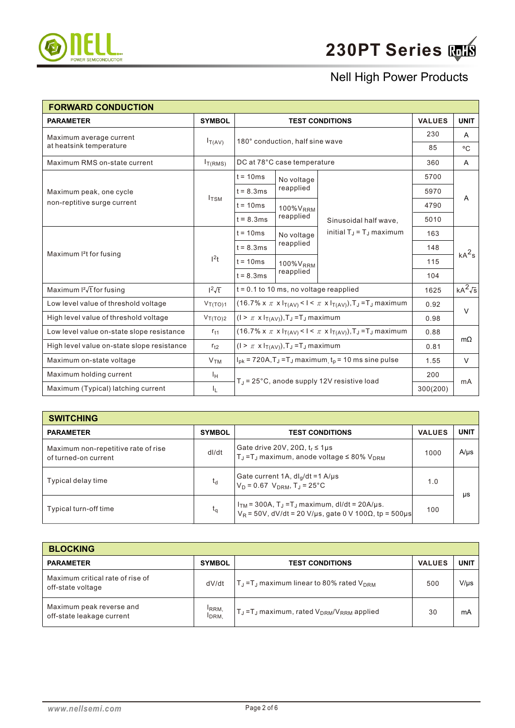

| <b>FORWARD CONDUCTION</b>                  |                     |                                                                                      |                                                                 |                                                                                      |               |                |
|--------------------------------------------|---------------------|--------------------------------------------------------------------------------------|-----------------------------------------------------------------|--------------------------------------------------------------------------------------|---------------|----------------|
| <b>PARAMETER</b>                           | <b>SYMBOL</b>       |                                                                                      |                                                                 | <b>TEST CONDITIONS</b>                                                               | <b>VALUES</b> | <b>UNIT</b>    |
| Maximum average current                    |                     |                                                                                      | 180° conduction, half sine wave                                 |                                                                                      | 230           | Α              |
| at heatsink temperature                    | $I_{T(AV)}$         |                                                                                      |                                                                 |                                                                                      | 85            | $^{\circ}$ C   |
| Maximum RMS on-state current               | I <sub>T(RMS)</sub> |                                                                                      | DC at 78°C case temperature                                     |                                                                                      | 360           | A              |
|                                            |                     | $t = 10ms$                                                                           | No voltage                                                      |                                                                                      | 5700          |                |
| Maximum peak, one cycle                    |                     | $t = 8.3ms$                                                                          | reapplied                                                       |                                                                                      | 5970          |                |
| non-reptitive surge current                | $I_{TSM}$           | $t = 10ms$                                                                           | 100% V <sub>RRM</sub>                                           |                                                                                      | 4790          | Α              |
|                                            |                     | $t = 8.3ms$                                                                          | reapplied                                                       | Sinusoidal half wave,<br>initial $T_{\rm J}$ = $T_{\rm J}$ maximum                   | 5010          |                |
|                                            |                     | $t = 10ms$                                                                           | No voltage<br>reapplied<br>100% V <sub>RRM</sub><br>reapplied   |                                                                                      | 163           | $kA^2$ s       |
|                                            | 1 <sup>2</sup> t    | $t = 8.3ms$                                                                          |                                                                 |                                                                                      | 148           |                |
| Maximum <sup>2</sup> t for fusing          |                     | $t = 10ms$                                                                           |                                                                 |                                                                                      | 115           |                |
|                                            |                     | $t = 8.3ms$                                                                          |                                                                 |                                                                                      | 104           |                |
| Maximum $I^2\sqrt{t}$ for fusing           | $1^2\sqrt{t}$       |                                                                                      | $t = 0.1$ to 10 ms, no voltage reapplied                        |                                                                                      | 1625          | $kA^2\sqrt{s}$ |
| Low level value of threshold voltage       | $V_{T(TO)1}$        |                                                                                      |                                                                 | $(16.7\% \times \pi \times I_{T(AV)} < I < \pi \times I_{T(AV)}), T_J = T_J$ maximum | 0.92          |                |
| High level value of threshold voltage      | $V_{T(TO)2}$        |                                                                                      | $(1 > \pi \times I_{T(AV)}), T_J = T_J$ maximum                 |                                                                                      | 0.98          | $\vee$         |
| Low level value on-state slope resistance  | $r_{t1}$            | $(16.7\% \times \pi \times I_{T(AV)} < I < \pi \times I_{T(AV)}), T_J = T_J$ maximum |                                                                 |                                                                                      | 0.88          |                |
| High level value on-state slope resistance | $r_{t2}$            | $(1 > \pi \times I_{T(AV)})$ , T <sub>J</sub> = T <sub>J</sub> maximum               |                                                                 |                                                                                      | 0.81          | $m\Omega$      |
| Maximum on-state voltage                   | V <sub>TM</sub>     |                                                                                      | $I_{pk}$ = 720A, $T_J$ = $T_J$ maximum $t_p$ = 10 ms sine pulse |                                                                                      |               | $\vee$         |
| Maximum holding current                    | ΙH                  |                                                                                      |                                                                 |                                                                                      | 200           |                |
| Maximum (Typical) latching current         | ΙL.                 |                                                                                      | $TJ$ = 25°C, anode supply 12V resistive load                    |                                                                                      |               | mA             |

| <b>SWITCHING</b>                                            |               |                                                                                                                                             |               |             |
|-------------------------------------------------------------|---------------|---------------------------------------------------------------------------------------------------------------------------------------------|---------------|-------------|
| <b>PARAMETER</b>                                            | <b>SYMBOL</b> | <b>TEST CONDITIONS</b>                                                                                                                      | <b>VALUES</b> | <b>UNIT</b> |
| Maximum non-repetitive rate of rise<br>of turned-on current | dl/dt         | Gate drive 20V, 20 $\Omega$ , $t_r \leq 1 \mu s$<br>$T_{\text{J}}$ = T <sub>J</sub> maximum, anode voltage $\leq$ 80% V <sub>DRM</sub>      | 1000          | $A/\mu s$   |
| Typical delay time                                          | $t_{d}$       | Gate current 1A, $dl_g/dt = 1$ A/µs<br>$V_D = 0.67$ $V_{DRM}$ , $T_J = 25$ °C                                                               | 1.0           | μs          |
| Typical turn-off time                                       | $t_{\alpha}$  | $ITM$ = 300A, T <sub>J</sub> = T <sub>J</sub> maximum, dl/dt = 20A/µs.<br>$V_R = 50V$ , dV/dt = 20 V/µs, gate 0 V 100 $\Omega$ , tp = 500µs | 100           |             |

| <b>BLOCKING</b>                                       |                                       |                                                                           |               |             |
|-------------------------------------------------------|---------------------------------------|---------------------------------------------------------------------------|---------------|-------------|
| <b>PARAMETER</b>                                      | <b>SYMBOL</b>                         | <b>TEST CONDITIONS</b>                                                    | <b>VALUES</b> | <b>UNIT</b> |
| Maximum critical rate of rise of<br>off-state voltage | dV/dt                                 | $T_{\rm J}$ = T <sub>J</sub> maximum linear to 80% rated V <sub>DRM</sub> | 500           | $V/\mu s$   |
| Maximum peak reverse and<br>off-state leakage current | <sup>I</sup> RRM.<br>I <sub>DRM</sub> | $T_J = T_J$ maximum, rated $V_{DRM}/V_{RRM}$ applied                      | 30            | mA          |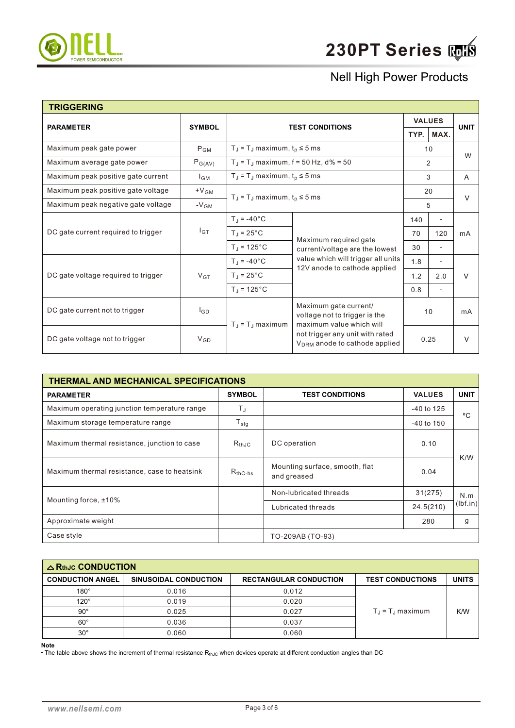

| <b>TRIGGERING</b>                   |                    |                                                                                                                                                                                           |                                                                    |               |                          |              |
|-------------------------------------|--------------------|-------------------------------------------------------------------------------------------------------------------------------------------------------------------------------------------|--------------------------------------------------------------------|---------------|--------------------------|--------------|
| <b>PARAMETER</b>                    | <b>SYMBOL</b>      |                                                                                                                                                                                           |                                                                    | <b>VALUES</b> |                          | <b>UNIT</b>  |
|                                     |                    |                                                                                                                                                                                           | <b>TEST CONDITIONS</b>                                             |               | MAX.                     |              |
| Maximum peak gate power             | $P_{GM}$           | $T_J = T_J$ maximum, $t_p \le 5$ ms                                                                                                                                                       |                                                                    | 10            |                          | W            |
| Maximum average gate power          | $P_{G(AV)}$        | $T_{J}$ = T <sub>J</sub> maximum, f = 50 Hz, d% = 50                                                                                                                                      |                                                                    | 2             |                          |              |
| Maximum peak positive gate current  | $I_{GM}$           | $T_J = T_J$ maximum, $t_p \le 5$ ms                                                                                                                                                       |                                                                    |               | 3                        | $\mathsf{A}$ |
| Maximum peak positive gate voltage  | $+V_{GM}$          | $T_J = T_J$ maximum, $t_p \le 5$ ms                                                                                                                                                       |                                                                    | 20            |                          | $\vee$       |
| Maximum peak negative gate voltage  | $-V$ <sub>GM</sub> |                                                                                                                                                                                           |                                                                    | 5             |                          |              |
|                                     | $I_{GT}$           | $T_J = -40^{\circ}C$                                                                                                                                                                      | Maximum required gate                                              | 140           | $\overline{a}$           | mA           |
| DC gate current required to trigger |                    | $T_J = 25^{\circ}C$                                                                                                                                                                       |                                                                    | 70            | 120                      |              |
|                                     |                    | $T_J = 125$ °C                                                                                                                                                                            | current/voltage are the lowest                                     | 30            | $\overline{\phantom{a}}$ |              |
|                                     |                    | $T_J = -40$ °C                                                                                                                                                                            | value which will trigger all units<br>12V anode to cathode applied | 1.8           |                          |              |
| DC gate voltage required to trigger | $V_{GT}$           | $T_J = 25^{\circ}C$                                                                                                                                                                       |                                                                    | 1.2           | 2.0                      | V            |
|                                     |                    | $T_J = 125$ °C                                                                                                                                                                            |                                                                    | 0.8           | $\overline{\phantom{a}}$ |              |
| DC gate current not to trigger      | l <sub>GD</sub>    | Maximum gate current/<br>voltage not to trigger is the<br>maximum value which will<br>$T_J = T_J$ maximum<br>not trigger any unit with rated<br>V <sub>DRM</sub> anode to cathode applied |                                                                    |               | 10                       | mA           |
| DC gate voltage not to trigger      | $V_{GD}$           |                                                                                                                                                                                           |                                                                    | 0.25          |                          | $\vee$       |

| THERMAL AND MECHANICAL SPECIFICATIONS        |               |                                               |                |             |  |  |  |  |
|----------------------------------------------|---------------|-----------------------------------------------|----------------|-------------|--|--|--|--|
| <b>PARAMETER</b>                             | <b>SYMBOL</b> | <b>TEST CONDITIONS</b>                        | <b>VALUES</b>  | <b>UNIT</b> |  |  |  |  |
| Maximum operating junction temperature range | T,            |                                               | $-40$ to 125   | °C          |  |  |  |  |
| Maximum storage temperature range            |               |                                               | $-40$ to $150$ |             |  |  |  |  |
| Maximum thermal resistance, junction to case | $R_{th,IC}$   | DC operation                                  | 0.10           |             |  |  |  |  |
| Maximum thermal resistance, case to heatsink | $R_{thC-hs}$  | Mounting surface, smooth, flat<br>and greased | 0.04           | K/W         |  |  |  |  |
| Mounting force, ±10%                         |               | Non-lubricated threads                        | 31(275)        | N.m         |  |  |  |  |
|                                              |               | 24.5(210)<br>Lubricated threads               |                | (lbf.in)    |  |  |  |  |
| Approximate weight                           |               |                                               | 280            | g           |  |  |  |  |
| Case style                                   |               | TO-209AB (TO-93)                              |                |             |  |  |  |  |

| $\triangle$ RthJc CONDUCTION |                       |                               |                                   |              |
|------------------------------|-----------------------|-------------------------------|-----------------------------------|--------------|
| <b>CONDUCTION ANGEL</b>      | SINUSOIDAL CONDUCTION | <b>RECTANGULAR CONDUCTION</b> | <b>TEST CONDUCTIONS</b>           | <b>UNITS</b> |
| $180^\circ$                  | 0.016                 | 0.012                         | $T_{\rm d}$ = $T_{\rm d}$ maximum |              |
| $120^\circ$                  | 0.019                 | 0.020                         |                                   | K/W          |
| $90^{\circ}$                 | 0.025                 | 0.027                         |                                   |              |
| $60^{\circ}$                 | 0.036                 | 0.037                         |                                   |              |
| $30^{\circ}$                 | 0.060                 | 0.060                         |                                   |              |

**Note**

• The table above shows the increment of thermal resistance  $R_{thJC}$  when devices operate at different conduction angles than DC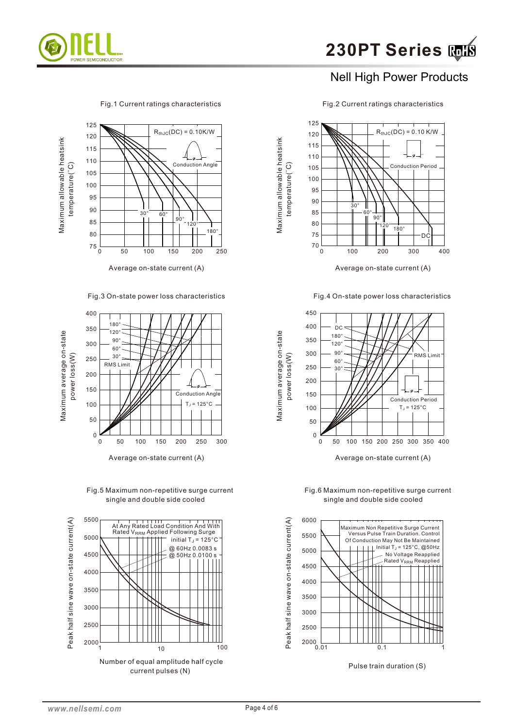

Fig.1 Current ratings characteristics Fig.2 Current ratings characteristics



Fig.3 On-state power loss characteristics



Fig.5 Maximum non-repetitive surge current single and double side cooled





Maximum allowable heatsink

Maximum average on-state

Maximum average on-state

Fig.4 On-state power loss characteristics



Fig.6 Maximum non-repetitive surge current single and double side cooled

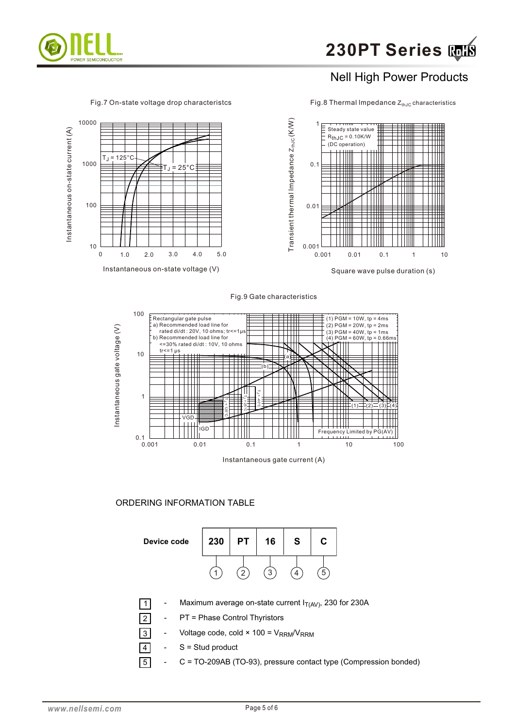



Fig.8 Thermal Impedance  $Z_{thJC}$  characteristics



Fig.9 Gate characteristics



#### ORDERING INFORMATION TABLE

| Device code | 230 | РT | 16 | S | r |  |
|-------------|-----|----|----|---|---|--|
|             |     |    | っ  |   | ċ |  |

- Maximum average on-state current  $I_{T(AV)}$ , 230 for 230A
- PT = Phase Control Thyristors
- 3 Voltage code, cold  $\times$  100 = V<sub>RRM</sub>/V<sub>RRM</sub>
- $S =$  Stud product
- 5 - C = TO-209AB (TO-93), pressure contact type (Compression bonded)